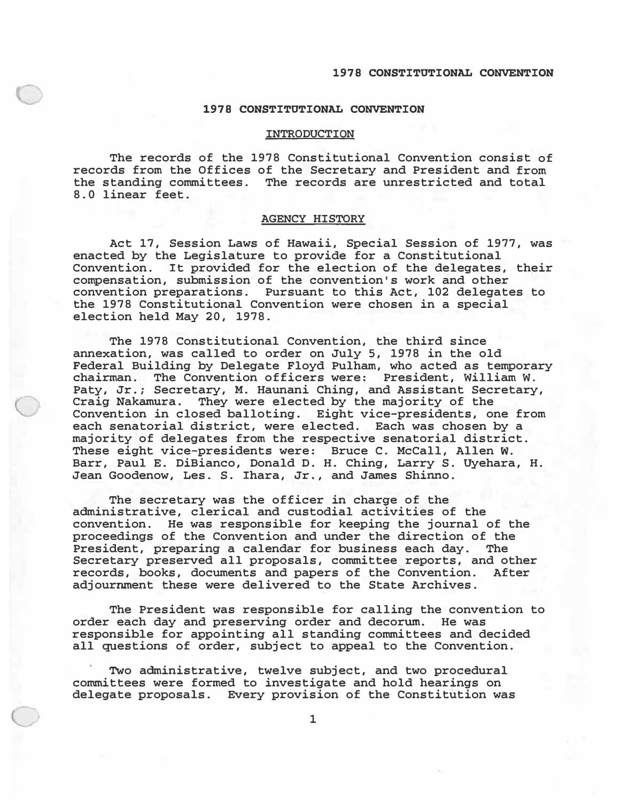## **INTRODUCTION**

**The records of the 1978 Constitutional Convention consist of records from the Offices of the Secretary and President and from the standing committees. The records are unrestricted and total 8.0 linear feet.** 

## **AGENCY HISTORY**

**Act 17, Session Laws of Hawaii, Special Session of 1977, was enacted by the Legislature to provide for a Constitutional Convention. It provided for the election of the delegates, their compensation, submission of the convention's work and other convention preparations. Pursuant to this Act, 102 delegates to the 1978 Constitutional Convention were chosen in a special election held May 20, 1978.** 

**The 1978 Constitutional Convention, the third since annexation, was called to order on July 5, 1978 in the old Federal Building by Delegate Floyd Pulham, who acted as temporary chairman. The Convention officers were: President, William W. Paty, Jr.; Secretary, M. Haunani Ching, and Assistant Secretary, Craig Nakamura. They were elected by the majority of the Convention in closed balloting. Eight vice-presidents, one from each senatorial district, were elected. Each was chosen by a majority of delegates from the respective senatorial district. These eight vice-presidents were: Bruce C. McCall, Allen** w. **Barr, Paul E. DiBianco, Donald D. H. Ching, Larry S. Uyehara, H. Jean Goodenow, Les. S. Ihara, Jr., and James Shinno.** 

**The secretary was the officer in charge of the administrative, clerical and custodial activities of the convention. He was responsible for keeping the journal of the proceedings of the Convention and under the direction of the**  President, preparing a calendar for business each day. **Secretary preserved all proposals, committee reports, and other**  records, books, documents and papers of the Convention. **adjournment these were delivered to the State Archives.** 

**The President was responsible for calling the convention to order each day and preserving order and decorum. He was responsible for appointing all standing committees and decided all questions of order, subject to appeal to the Convention.** 

**Two administrative, twelve subject, and two procedural committees were formed to investigate and hold hearings on delegate proposals. Every provision of the Constitution was**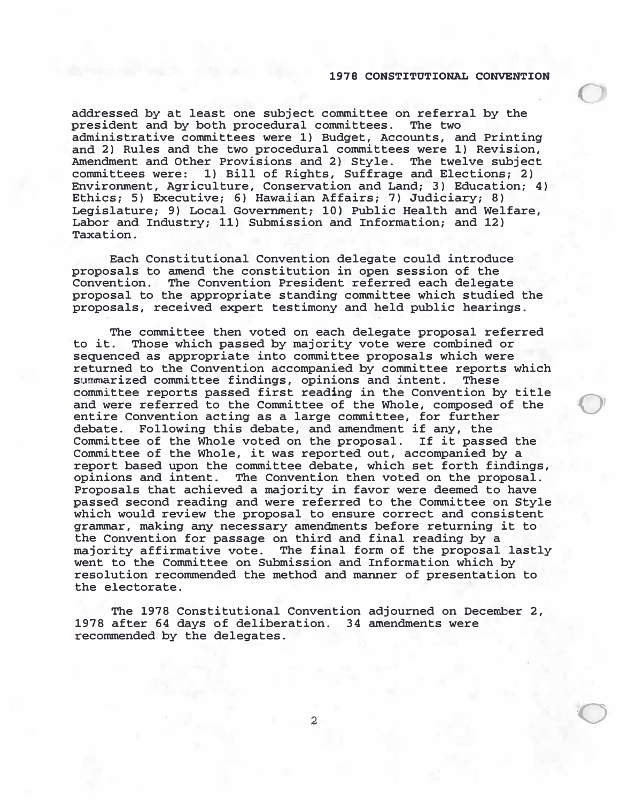0

 $\bigcirc$ 

**addressed by at least one subject committee on referral by the president and by both procedural committees. The two administrative committees were 1) Budget, Accounts, and Printing and 2) Rules and the two procedural committees were 1) Revision, Amendment and Other Provisions and 2) Style. The twelve subject committees were: 1) Bill of Rights, Suffrage and Elections; 2) Environment, Agriculture, Conservation and Land; 3) Education; 4) Ethics; 5) Executive; 6) Hawaiian Affairs; 7) Judiciary; 8) Legislature; 9) Local Government; 10) Public Health and Welfare, Labor and Industry; 11) Submission and Information; and 12) Taxation.** 

**Each Constitutional Convention delegate could introduce proposals to amend the constitution in open session of the Convention. The Convention President referred each delegate proposal to the appropriate standing committee which studied the proposals, received expert testimony and held public hearings.** 

The committee then voted on each delegate proposal referred<br>to it. Those which passed by majority vote were combined or **to it. Those which passed by majority vote were combined or sequenced as appropriate into committee proposals which were returned to the Convention accompanied by committee reports which**  summarized committee findings, opinions and intent. **committee reports passed first reading in the Convention by title and were referred to the Committee of the Whole, composed of the entire Convention acting as a large committee, for further debate. Following this debate, and amendment if any, the Committee of the Whole voted on the proposal. If it passed the Committee of the Whole, it was reported out, accompanied by a report based upon the committee debate, which set forth findings, opinions and intent. The Convention then voted on the proposal. Proposals that achieved a majority in favor were deemed to have passed second reading and were referred to the Committee on Style which would review the proposal to ensure correct and consistent grammar, making any necessary amendments before returning it to the Convention for passage on third and final reading by a majority affirmative vote. The final form of the proposal lastly went to the Committee on Submission and Information which by resolution recommended the method and manner of presentation to the electorate.** 

**The 1978 Constitutional Convention adjourned on December 2,**  1978 after 64 days of deliberation. **recommended by the delegates.**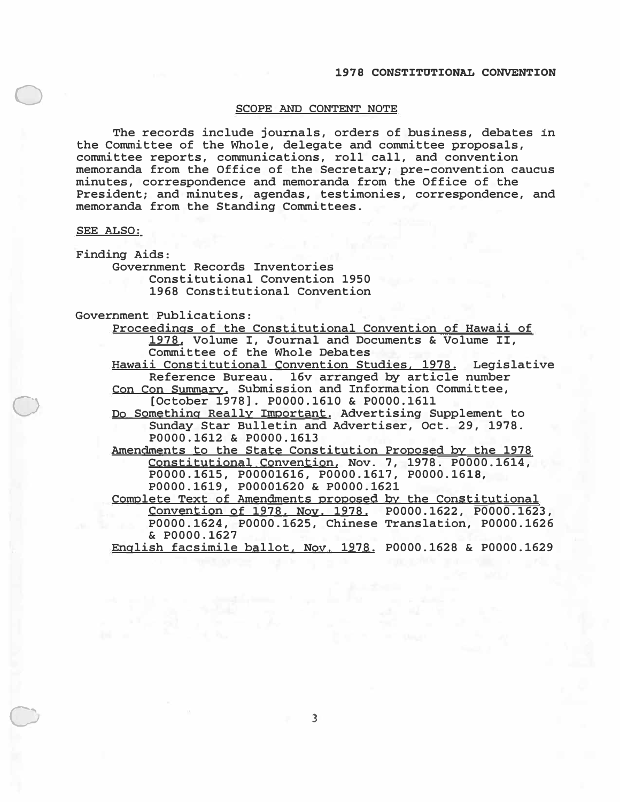# **SCOPE AND CONTENT NOTE**

The records include journals, orders of business, debates in the Committee of the Whole, delegate and committee proposals, committee reports, communications, roll call, and convention memoranda from the Office of the Secretary; pre-convention caucus minutes, correspondence and memoranda from the Office of the President; and minutes, agendas, testimonies, correspondence, and memoranda from the Standing Committees.

## **SEE ALSO:**

0

0

0

Finding Aids:

Government Records Inventories Constitutional Convention 1950 1968 Constitutional Convention

# Government Publications:

Proceedings of the Constitutional Convention of Hawaii of 1978, Volume I, Journal and Documents & Volume II, Committee of the Whole Debates

Hawaii Constitutional Convention Studies. 1978. Legislative Reference Bureau. 16v arranged by article number

Con Con Summary. Submission and Information Committee, [October 1978]. P0000.1610 & P0000.1611

Do Something Really Important. Advertising Supplement to Sunday Star Bulletin and Advertiser, Oct. 29, 1978. **P0000.1612** & **P0000.1613** 

Amendments to the State Constitution Proposed by the 1978 Constitutional Convention, Nov. 7, 1978. P0000.1614, **P0000.1615, P00001616, P0000.1617, P0000. 1618, P0000. 1619, P00001620** & **P0000.1621** 

Complete Text of Amendments proposed by the Constitutional Convention of 1978. Noy. 1978. P0000.1622, P0000.1623, P0000.1624, P0000.1625, Chinese Translation, P0000.1626 & **P0000.1627** 

English facsimile ballot, Noy. 1978. P0000.1628 & P0000.1629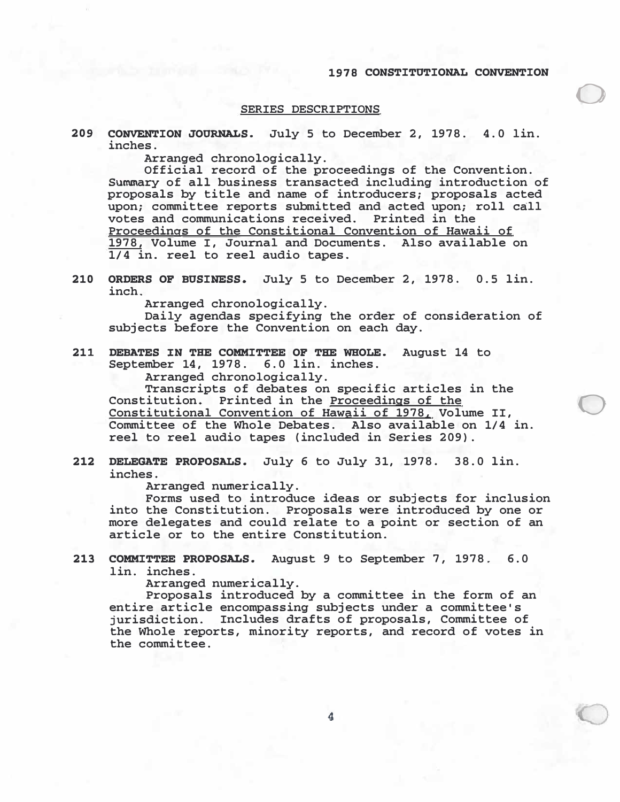0

0

### **SERIES DESCRIPTIONS**

209 CONVENTION JOURNALS. July 5 to December 2, 1978. 4.0 lin. **inches.** 

**Arranged chronologically.** 

**Official record of the proceedings of the Convention. Summary of all business transacted including introduction of proposals by title and name of introducers; proposals acted upon; committee reports submitted and acted upon; roll call votes and communications received. Printed in the Proceedings of the Constitional Convention of Hawaii of 1978, Volume I, Journal and Documents. Also available on 1/4 in. reel to reel audio tapes.** 

**210 ORDERS OF BUSINESS.** July 5 to December 2, 1978. 0.5 lin. **inch.** 

**Arranged chronologically.** 

**Daily agendas specifying the order of consideration of subjects before the Convention on each day.** 

**211 DEBATES :rN THE COMMITTEE OF THE WHOLE. August 14 to September 14, 1978. 6. 0 lin. inches.** 

**Arranged chronologically.** 

**Transcripts of debates on specific articles in the Constitution. Printed in the Proceedings of the Constitutional Convention of Hawaii of 1978, Volume II, Committee of the Whole Debates. Also available on 1/4 in. reel to reel audio tapes (included in Series 209) .** 

# 212 DELEGATE PROPOSALS. July 6 to July 31, 1978. 38.0 lin. **inches.**

**Arranged numerically.** 

**Forms used to introduce ideas or subjects for inclusion into the Constitution. Proposals were introduced by one or more delegates and could relate to a point or section of an article or to the entire Constitution.** 

**213 COMMITTEE PROPOSALS. August 9 to September 7, 1978. 6. 0 lin. inches.** 

**Arranged numerically.** 

**Proposals introduced by a committee in the form of an entire article encompassing subjects under a committee's jurisdiction. Includes drafts of proposals, Committee of the Whole reports, minority reports, and record of votes in the committee.**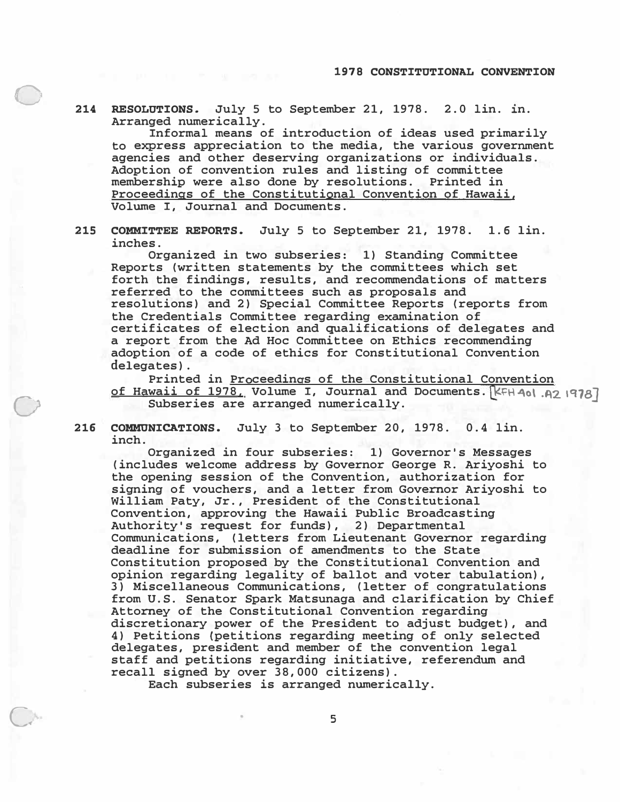**214 RESOLUTIONS. July 5 to September 21, 1978. 2.0 lin. in. Arranged numerically.** 

0

0

<sup>e</sup>

**Informal means of introduction of ideas used primarily to express appreciation to the media, the various government agencies and other deserving organizations or individuals. Adoption of convention rules and listing of committee membership were also done by resolutions. Printed in Proceedings of the Constitutional Convention of Hawaii, Volume I, Journal and Documents.** 

**215 COMMITTEE REPORTS. July 5 to September 21, 1978. 1.6 lin. inches.** 

**Organized in two subseries: 1) Standing Committee Reports (written statements by the committees which set forth the findings, results, and recommendations of matters referred to the committees such as proposals and resolutions) and 2) Special Committee Reports (reports from the Credentials Committee regarding examination of certificates of election and qualifications of delegates and a report from the Ad Hoc Committee on Ethics recommending adoption of a code of ethics for Constitutional Convention delegates).** 

Printed in **Proceedings of the Constitutional Convention of Hawaii of 1978. Volume I, Journal and Documents.** [KFH 4ol. A2 1978] Subseries are arranged numerically.

**216 COMMUNICATIONS. July 3 to September 20, 1978. 0.4 lin. inch.** 

**Organized in four subseries: 1) Governor's Messages (includes welcome address by Governor George R. Ariyoshi to the opening session of the Convention, authorization for signing of vouchers, and a letter from Governor Ariyoshi to William Paty, Jr., President of the Constitutional Convention, approving the Hawaii Public Broadcasting Authority's request for funds), 2) Departmental Communications, (letters from Lieutenant Governor regarding deadline for submission of amendments to the State Constitution proposed by the Constitutional Convention and opinion regarding legality of ballot and voter tabulation), 3) Miscellaneous Communications, (letter of congratulations from U.S. Senator Spark Matsunaga and clarification by Chief Attorney of the Constitutional Convention regarding discretionary power of the President to adjust budget), and 4) Petitions {petitions regarding meeting of only selected delegates, president and member of the convention legal staff and petitions regarding initiative, referendum and recall signed by over 38, 000 citizens).** 

**Each subseries is arranged numerically.** 

• 5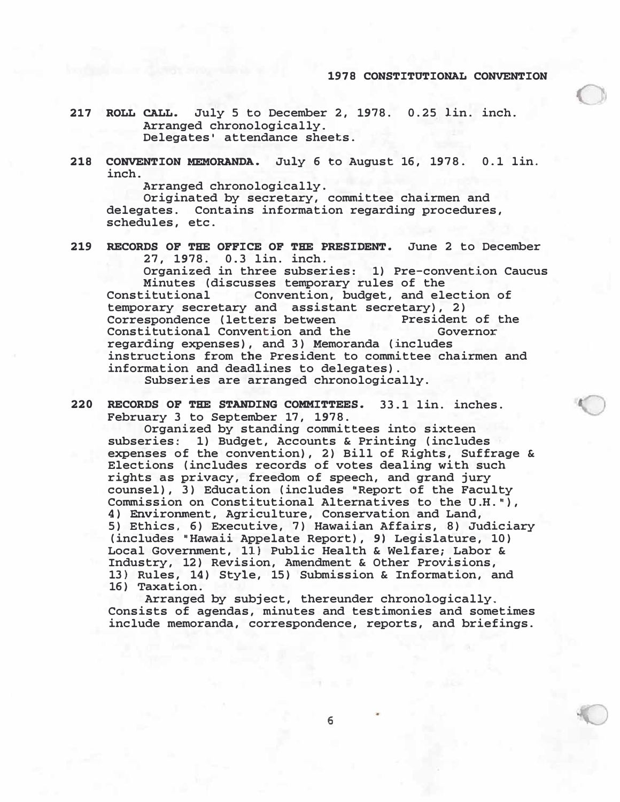- **217 ROLL CALL. July 5 to December 2, 1978. 0. 25 lin. inch. Arranged chronologically. Delegates• attendance sheets.**
- 218 CONVENTION MEMORANDA. July 6 to August 16, 1978. 0.1 lin. **inch.**

**Arranged chronologically.** 

**Originated by secretary, committee chairmen and delegates. Contains information regarding procedures, schedules, etc.** 

**219 RECORDS OF THE OFFICE OF THE PRESIDENT. June 2 to December 27, 1978. 0. 3 lin. inch.** 

**Organized in three subseries: 1) Pre-convention Caucus Minutes (discusses temporary rules of the Constitutional Convention, budget, and electional** Convention, budget, and election of

**temporary secretary and assistant secretary), 2) Correspondence (letters between The President of the Sovernor**<br> **Constitutional Convention and the Governor** Constitutional Convention and the **regarding expenses), and 3) Memoranda (includes instructions from the President to committee chairmen and information and deadlines to delegates).** 

**Subseries are arranged chronologically.** 

**220 RECORDS OF THE STANDING COMMITTEES. 33. 1 lin. inches. February 3 to September 17, 1978.** 

**Organized by standing committees into sixteen subseries: 1) Budget, Accounts & Printing (includes expenses of the convention), 2) Bill of Rights, Suffrage & Elections (includes records of votes dealing with such rights as privacy, freedom of speech, and grand jury**  counsel), 3) Education (includes "Report of the Faculty **Commission on Constitutional Alternatives to the U.H. 11), 4) Environment, Agriculture, Conservation and Land, 5) Ethics, 6) Executive, 7) Hawaiian Affairs, 8) Judiciary (includes "Hawaii Appelate Report), 9) Legislature, 10) Local Government, 11) Public Health & Welfare; Labor & Industry, 12) Revision, Amendment & Other Provisions, 13} Rules, 14) Style, 15) Submission & Information, and 16) Taxation.** 

**Arranged by subject, thereunder chronologically. Consists of agendas, minutes and testimonies and sometimes include memoranda, correspondence, reports, and briefings.** 

**6**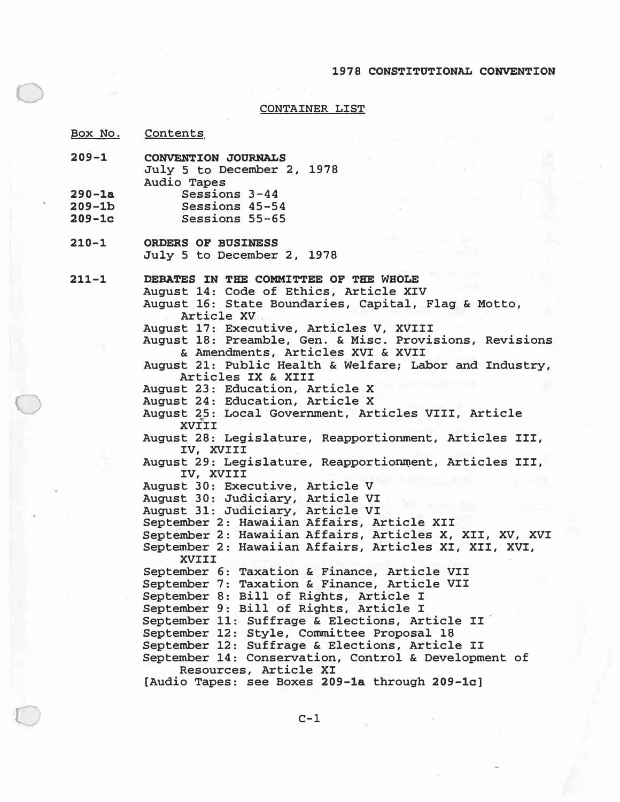### **CONTAINER LIST**

**Box No. Contents** 

0

0

- **209-1 290-la CONVENTION JOURNALS July 5 to December 2, 1978 Audio Tapes Sessions 3-44**
- **209-lb Sessions 45-54**
- 209-lc **Sessions 55-65**
- **210-1 ORDERS OF BUS:INESS July 5 to December 2, 1978**

**211-1 DEBATES IN THE COMMITTEE OF THE WHOLE** 

**August 14: Code of Ethics, Article XIV August 16: State Boundaries, Capital, Flag & Motto, Article XV .\_** 

**August 17: Executive, Articles V, XVIII** 

**August 18: Preamble, Gen. & Misc. Provisions, Revisions & Amendments, Articles XVI & XVII** 

**August 21: Public Health & Welfare; Labor and Industry, Articles IX & XIII** 

**August 23: Education, Article X** 

**August 24: Education, Article X** 

- **August 25: Local Govermnent, Articles VIII, Article**  "' **XVIII**
- **August 28: Legislature, Reapportionment, Articles III, IV, XVIII**
- **August 29: Legislature, Reapportionroent, Articles III, IV, XVIII**
- **August 30: Executive, Article V**

**August 30: Judiciary, Article VI** 

**August 31: Judiciary, Article VI** 

**September 2: Hawaiian Affairs, Article XII** 

**September 2: Hawaiian Affairs, Articles X, XII, XV, XVI September 2: Hawaiian Affairs, Articles XI, XII, XVI, XVIII** 

**September 6: Taxation & Finance, Article VII** 

**September 7: Taxation & Finance, Article VII** 

**September 8: Bill of Rights, Article I** 

**September 9: Bill of Rights, Article I** 

**September 11: Suffrage & Elections, Article II ·** 

September 12: Style, Committee Proposal 18

**September 12: Suffrage & Elections, Article II** 

**September 14: Conservation, Control & Development of Resources, Article XI** 

**[Audio Tapes: see Boxes 209-la through 209-lc]**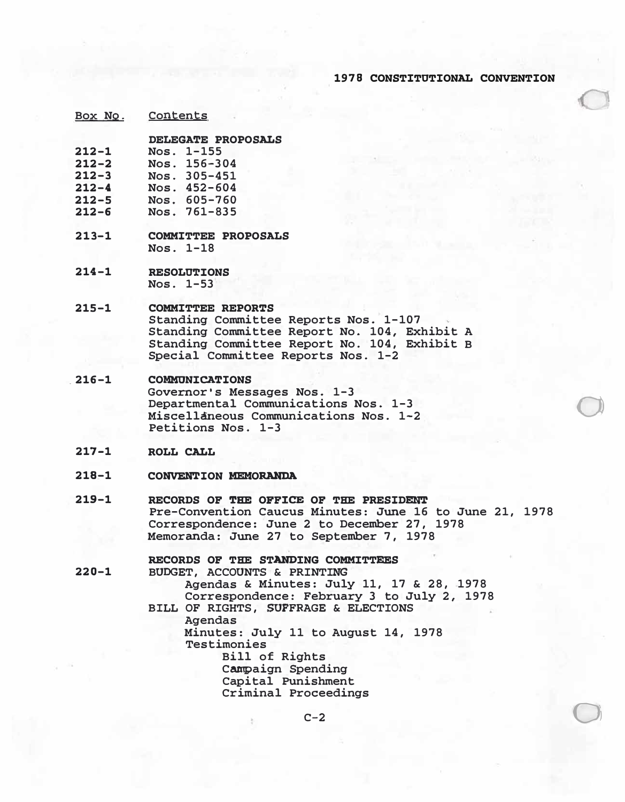a

o,

Box No. Contents

**DELEGATE PROPOSALS** 

- **212-1**  Nos. 1-155
- **212-2**  Nos. 156-304
- **212-3**  Nos. 305-451
- **212-4**  Nos. 452-604
- **212-5**  Nos. 605-760
- **212-6**  Nos. 761-835
- **213-1 COMMITTEE PROPOSALS**  Nos. 1-18
- **214-1 RESOLUTIONS** Nos. 1-53

#### **215-1 COMMITTEE REPORTS**

Standing Committee Reports Nos. 1-107 Standing Committee Report No. 104, Exhibit A Standing Committee Report No. 104, Exhibit B Special Committee Reports Nos. 1-2

- **.216-1 COMMONXCATIONS**  Governor's Messages Nos. 1-3 Departmental Communications Nos. 1-3 Miscellaneous Communications Nos. 1-2 Petitions Nos. 1-3
- **217-1 ROLL CALL**
- **218-1 CONVEN'l'ION MEMORANDA**
- **219-1**  RECORDS OF THE OFFICE OF THE PRESIDENT Pre-Convention Caucus Minutes: June 16 to June 21, 1978 Correspondence: June 2 to December 27, 1978 Memoranda: June 27 to September 7, 1978

# **220-1**  RECORDS OF THE STANDING COMMITTEES BUDGET, ACCOUNTS & PRINTING Agendas & Minutes: July 11, 17 & 28, 1978 Correspondence: February 3 to July 2, 1978 BILL OF RIGHTS, SUFFRAGE & ELECTIONS Agendas Minutes: July 11 to August 14, 1978 Testimonies Bill of Rights Campaign Spending Capital Punishment Criminal Proceedings

 $C-2$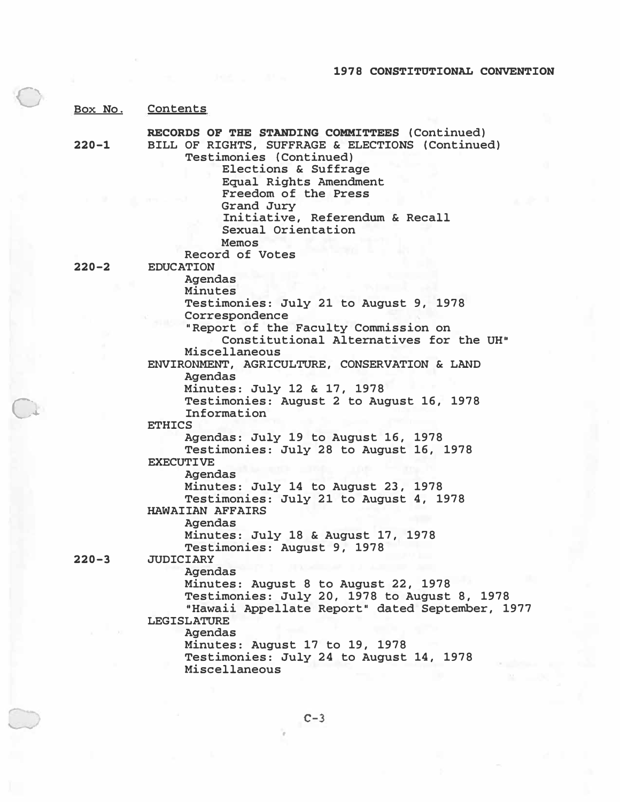|           | Box No. Contents                                                                                                                                                                |
|-----------|---------------------------------------------------------------------------------------------------------------------------------------------------------------------------------|
| $220 - 1$ | RECORDS OF THE STANDING COMMITTEES (Continued)<br>BILL OF RIGHTS, SUFFRAGE & ELECTIONS (Continued)<br>Testimonies (Continued)<br>Elections & Suffrage<br>Equal Rights Amendment |
|           | Freedom of the Press<br>Grand Jury<br>Initiative, Referendum & Recall<br>Sexual Orientation<br>Memos<br>Record of Votes                                                         |
| $220 - 2$ | <b>EDUCATION</b>                                                                                                                                                                |
|           | <b>Agendas</b><br>Minutes                                                                                                                                                       |
|           | Testimonies: July 21 to August 9, 1978                                                                                                                                          |
|           | Correspondence                                                                                                                                                                  |
|           | "Report of the Faculty Commission on                                                                                                                                            |
|           | Constitutional Alternatives for the UH"                                                                                                                                         |
|           | Miscellaneous                                                                                                                                                                   |
|           | ENVIRONMENT, AGRICULTURE, CONSERVATION & LAND<br>Agendas                                                                                                                        |
|           | Minutes: July 12 & 17, 1978                                                                                                                                                     |
|           | Testimonies: August 2 to August 16, 1978<br>Information                                                                                                                         |
|           | <b>ETHICS</b>                                                                                                                                                                   |
|           | Agendas: July 19 to August 16, 1978                                                                                                                                             |
|           | Testimonies: July 28 to August 16, 1978                                                                                                                                         |
|           | <b>EXECUTIVE</b>                                                                                                                                                                |
|           | <b>Agendas</b>                                                                                                                                                                  |
|           | Minutes: July 14 to August 23, 1978                                                                                                                                             |
|           | Testimonies: July 21 to August 4, 1978                                                                                                                                          |
|           | <b>HAWAIIAN AFFAIRS</b>                                                                                                                                                         |
|           | Agendas                                                                                                                                                                         |
|           | Minutes: July 18 & August 17, 1978                                                                                                                                              |
| $220 - 3$ | Testimonies: August 9, 1978<br><b>JUDICIARY</b>                                                                                                                                 |
|           | <b>Agendas</b>                                                                                                                                                                  |
|           | Minutes: August 8 to August 22, 1978                                                                                                                                            |
|           | Testimonies: July 20, 1978 to August 8, 1978                                                                                                                                    |
|           | "Hawaii Appellate Report" dated September, 1977<br><b>LEGISLATURE</b>                                                                                                           |
|           | <b>Agendas</b>                                                                                                                                                                  |
|           | Minutes: August 17 to 19, 1978                                                                                                                                                  |
|           | Testimonies: July 24 to August 14, 1978                                                                                                                                         |
|           | Miscellaneous                                                                                                                                                                   |
|           |                                                                                                                                                                                 |

c�

 $\boldsymbol{\theta}$